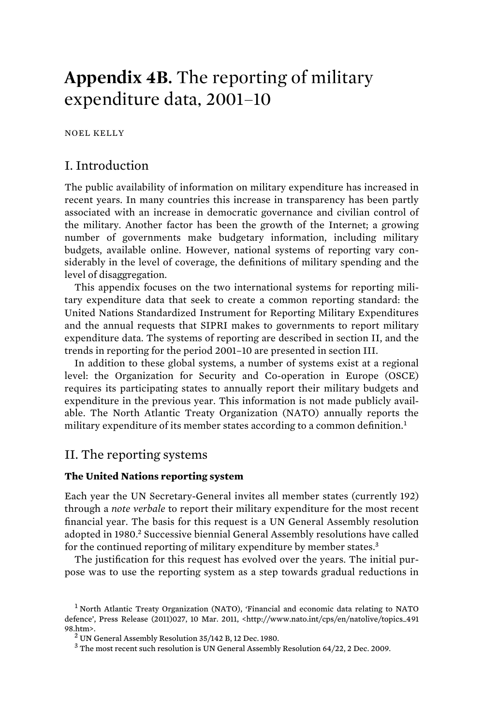# **Appendix 4B.** The reporting of military expenditure data, 2001–10

NOEL KELLY

## I. Introduction

The public availability of information on military expenditure has increased in recent years. In many countries this increase in transparency has been partly associated with an increase in democratic governance and civilian control of the military. Another factor has been the growth of the Internet; a growing number of governments make budgetary information, including military budgets, available online. However, national systems of reporting vary considerably in the level of coverage, the definitions of military spending and the level of disaggregation.

This appendix focuses on the two international systems for reporting military expenditure data that seek to create a common reporting standard: the United Nations Standardized Instrument for Reporting Military Expenditures and the annual requests that SIPRI makes to governments to report military expenditure data. The systems of reporting are described in section II, and the trends in reporting for the period 2001–10 are presented in section III.

In addition to these global systems, a number of systems exist at a regional level: the Organization for Security and Co-operation in Europe (OSCE) requires its participating states to annually report their military budgets and expenditure in the previous year. This information is not made publicly available. The North Atlantic Treaty Organization (NATO) annually reports the military expenditure of its member states according to a common definition.<sup>1</sup>

### II. The reporting systems

#### **The United Nations reporting system**

Each year the UN Secretary-General invites all member states (currently 192) through a *note verbale* to report their military expenditure for the most recent financial year. The basis for this request is a UN General Assembly resolution adopted in 1980.<sup>2</sup> Successive biennial General Assembly resolutions have called for the continued reporting of military expenditure by member states.<sup>3</sup>

The justification for this request has evolved over the years. The initial purpose was to use the reporting system as a step towards gradual reductions in

<sup>&</sup>lt;sup>1</sup> North Atlantic Treaty Organization (NATO), 'Financial and economic data relating to NATO defence', Press Release (2011)027, 10 Mar. 2011, <http://www.nato.int/cps/en/natolive/topics\_491 98.htm>. <sup>2</sup>

UN General Assembly Resolution 35/142 B, 12 Dec. 1980.

<sup>&</sup>lt;sup>3</sup> The most recent such resolution is UN General Assembly Resolution 64/22, 2 Dec. 2009.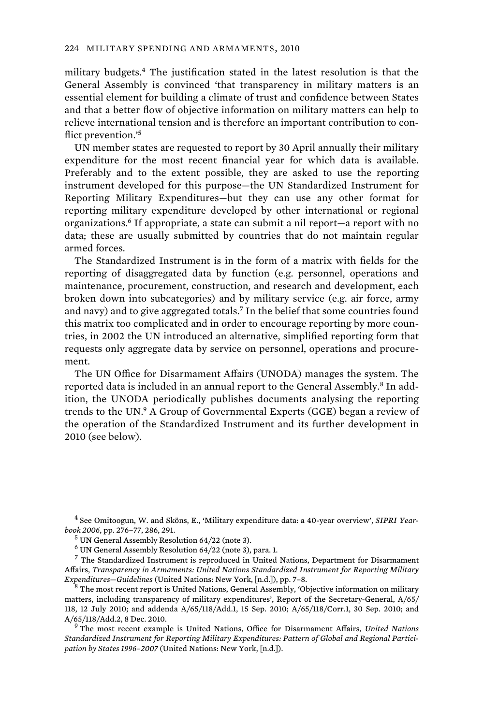military budgets.<sup>4</sup> The justification stated in the latest resolution is that the General Assembly is convinced 'that transparency in military matters is an essential element for building a climate of trust and confidence between States and that a better flow of objective information on military matters can help to relieve international tension and is therefore an important contribution to conflict prevention.'<sup>5</sup>

UN member states are requested to report by 30 April annually their military expenditure for the most recent financial year for which data is available. Preferably and to the extent possible, they are asked to use the reporting instrument developed for this purpose—the UN Standardized Instrument for Reporting Military Expenditures—but they can use any other format for reporting military expenditure developed by other international or regional organizations.<sup>6</sup> If appropriate, a state can submit a nil report—a report with no data; these are usually submitted by countries that do not maintain regular armed forces.

The Standardized Instrument is in the form of a matrix with fields for the reporting of disaggregated data by function (e.g. personnel, operations and maintenance, procurement, construction, and research and development, each broken down into subcategories) and by military service (e.g. air force, army and navy) and to give aggregated totals.<sup>7</sup> In the belief that some countries found this matrix too complicated and in order to encourage reporting by more countries, in 2002 the UN introduced an alternative, simplified reporting form that requests only aggregate data by service on personnel, operations and procurement.

The UN Office for Disarmament Affairs (UNODA) manages the system. The reported data is included in an annual report to the General Assembly.<sup>8</sup> In addition, the UNODA periodically publishes documents analysing the reporting trends to the UN.<sup>9</sup> A Group of Governmental Experts (GGE) began a review of the operation of the Standardized Instrument and its further development in 2010 (see below).

4 See Omitoogun, W. and Sköns, E., 'Military expenditure data: a 40-year overview', *SIPRI Yearbook 2006*, pp. 276–77, 286, 291. <sup>5</sup>

UN General Assembly Resolution 64/22 (note 3).

6 UN General Assembly Resolution 64/22 (note 3), para. 1.

<sup>7</sup> The Standardized Instrument is reproduced in United Nations, Department for Disarmament Affairs, *Transparency in Armaments: United Nations Standardized Instrument for Reporting Military Expenditures-Guidelines* (United Nations: New York, [n.d.]), pp. 7-8.

<sup>8</sup> The most recent report is United Nations, General Assembly, 'Objective information on military matters, including transparency of military expenditures', Report of the Secretary-General, A/65/ 118, 12 July 2010; and addenda A/65/118/Add.1, 15 Sep. 2010; A/65/118/Corr.1, 30 Sep. 2010; and A/65/118/Add.2, 8 Dec. 2010.

 The most recent example is United Nations, Office for Disarmament Affairs, *United Nations Standardized Instrument for Reporting Military Expenditures: Pattern of Global and Regional Participation by States 1996–2007* (United Nations: New York, [n.d.]).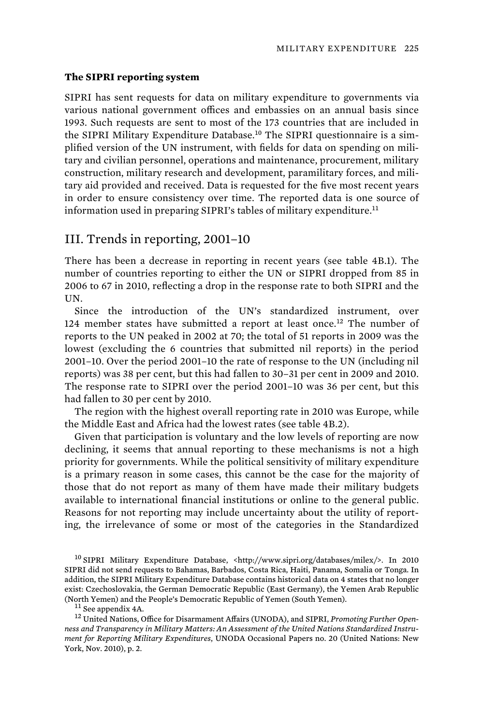#### **The SIPRI reporting system**

SIPRI has sent requests for data on military expenditure to governments via various national government offices and embassies on an annual basis since 1993. Such requests are sent to most of the 173 countries that are included in the SIPRI Military Expenditure Database.<sup>10</sup> The SIPRI questionnaire is a simplified version of the UN instrument, with fields for data on spending on military and civilian personnel, operations and maintenance, procurement, military construction, military research and development, paramilitary forces, and military aid provided and received. Data is requested for the five most recent years in order to ensure consistency over time. The reported data is one source of information used in preparing SIPRI's tables of military expenditure.<sup>11</sup>

## III. Trends in reporting, 2001–10

There has been a decrease in reporting in recent years (see table 4B.1). The number of countries reporting to either the UN or SIPRI dropped from 85 in 2006 to 67 in 2010, reflecting a drop in the response rate to both SIPRI and the UN.

Since the introduction of the UN's standardized instrument, over 124 member states have submitted a report at least once.<sup>12</sup> The number of reports to the UN peaked in 2002 at 70; the total of 51 reports in 2009 was the lowest (excluding the 6 countries that submitted nil reports) in the period 2001–10. Over the period 2001–10 the rate of response to the UN (including nil reports) was 38 per cent, but this had fallen to 30–31 per cent in 2009 and 2010. The response rate to SIPRI over the period 2001–10 was 36 per cent, but this had fallen to 30 per cent by 2010.

The region with the highest overall reporting rate in 2010 was Europe, while the Middle East and Africa had the lowest rates (see table 4B.2).

Given that participation is voluntary and the low levels of reporting are now declining, it seems that annual reporting to these mechanisms is not a high priority for governments. While the political sensitivity of military expenditure is a primary reason in some cases, this cannot be the case for the majority of those that do not report as many of them have made their military budgets available to international financial institutions or online to the general public. Reasons for not reporting may include uncertainty about the utility of reporting, the irrelevance of some or most of the categories in the Standardized

<sup>10</sup> SIPRI Military Expenditure Database, <http://www.sipri.org/databases/milex/>. In 2010 SIPRI did not send requests to Bahamas, Barbados, Costa Rica, Haiti, Panama, Somalia or Tonga. In addition, the SIPRI Military Expenditure Database contains historical data on 4 states that no longer exist: Czechoslovakia, the German Democratic Republic (East Germany), the Yemen Arab Republic (North Yemen) and the People's Democratic Republic of Yemen (South Yemen). 11 See appendix 4A. 12 United Nations, Office for Disarmament Affairs (UNODA), and SIPRI, *Promoting Further Open-*

*ness and Transparency in Military Matters: An Assessment of the United Nations Standardized Instrument for Reporting Military Expenditures*, UNODA Occasional Papers no. 20 (United Nations: New York, Nov. 2010), p. 2.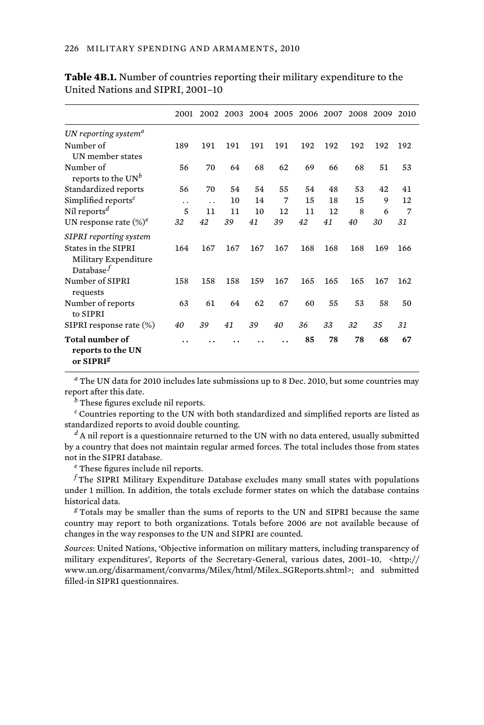|                                                                      | 2001 | 2002 | 2003 | 2004 | 2005 | 2006 | 2007 | 2008 | 2009 | 2010 |
|----------------------------------------------------------------------|------|------|------|------|------|------|------|------|------|------|
| UN reporting system <sup>a</sup>                                     |      |      |      |      |      |      |      |      |      |      |
| Number of<br>UN member states                                        | 189  | 191  | 191  | 191  | 191  | 192  | 192  | 192  | 192  | 192  |
| Number of<br>reports to the $UN^b$                                   | 56   | 70   | 64   | 68   | 62   | 69   | 66   | 68   | 51   | 53   |
| Standardized reports                                                 | 56   | 70   | 54   | 54   | 55   | 54   | 48   | 53   | 42   | 41   |
| Simplified reports <sup>c</sup>                                      | . .  | . .  | 10   | 14   | 7    | 15   | 18   | 15   | 9    | 12   |
| Nil reports <sup>d</sup>                                             | 5    | 11   | 11   | 10   | 12   | 11   | 12   | 8    | 6    | 7    |
| UN response rate $(\%)^e$                                            | 32   | 42   | 39   | 41   | 39   | 42   | 41   | 40   | 30   | 31   |
| <b>SIPRI</b> reporting system                                        |      |      |      |      |      |      |      |      |      |      |
| States in the SIPRI<br>Military Expenditure<br>Database $^f$         | 164  | 167  | 167  | 167  | 167  | 168  | 168  | 168  | 169  | 166  |
| Number of SIPRI<br>requests                                          | 158  | 158  | 158  | 159  | 167  | 165  | 165  | 165  | 167  | 162  |
| Number of reports<br>to SIPRI                                        | 63   | 61   | 64   | 62   | 67   | 60   | 55   | 53   | 58   | 50   |
| SIPRI response rate (%)                                              | 40   | 39   | 41   | 39   | 40   | 36   | 33   | 32   | 35   | 31   |
| <b>Total number of</b><br>reports to the UN<br>or SIPRI <sup>g</sup> |      |      |      |      |      | 85   | 78   | 78   | 68   | 67   |

**Table 4B.1.** Number of countries reporting their military expenditure to the United Nations and SIPRI, 2001–10

*a* The UN data for 2010 includes late submissions up to 8 Dec. 2010, but some countries may report after this date.

*b* These figures exclude nil reports.

*c* Countries reporting to the UN with both standardized and simplified reports are listed as standardized reports to avoid double counting.

*d* A nil report is a questionnaire returned to the UN with no data entered, usually submitted by a country that does not maintain regular armed forces. The total includes those from states not in the SIPRI database.

*e* These figures include nil reports.

 $^f$ The SIPRI Military Expenditure Database excludes many small states with populations under 1 million. In addition, the totals exclude former states on which the database contains historical data.

*g* Totals may be smaller than the sums of reports to the UN and SIPRI because the same country may report to both organizations. Totals before 2006 are not available because of changes in the way responses to the UN and SIPRI are counted.

*Sources*: United Nations, 'Objective information on military matters, including transparency of military expenditures', Reports of the Secretary-General, various dates, 2001–10, <http:// www.un.org/disarmament/convarms/Milex/html/Milex\_SGReports.shtml>; and submitted filled-in SIPRI questionnaires.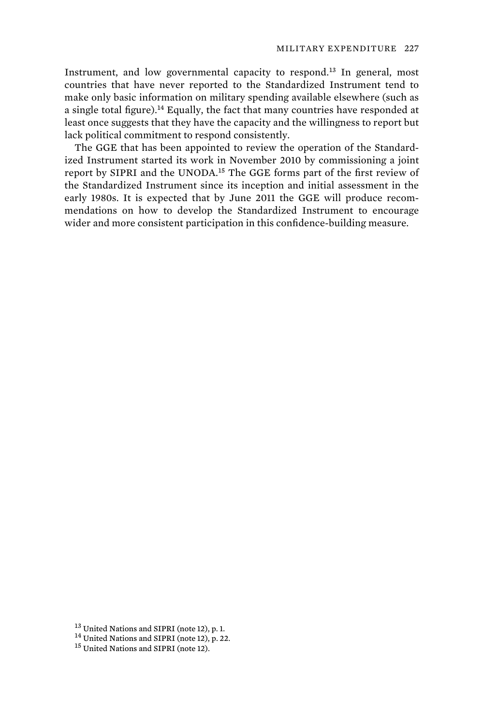Instrument, and low governmental capacity to respond.<sup>13</sup> In general, most countries that have never reported to the Standardized Instrument tend to make only basic information on military spending available elsewhere (such as a single total figure).<sup>14</sup> Equally, the fact that many countries have responded at least once suggests that they have the capacity and the willingness to report but lack political commitment to respond consistently.

The GGE that has been appointed to review the operation of the Standardized Instrument started its work in November 2010 by commissioning a joint report by SIPRI and the UNODA.<sup>15</sup> The GGE forms part of the first review of the Standardized Instrument since its inception and initial assessment in the early 1980s. It is expected that by June 2011 the GGE will produce recommendations on how to develop the Standardized Instrument to encourage wider and more consistent participation in this confidence-building measure.

<sup>&</sup>lt;sup>13</sup> United Nations and SIPRI (note 12), p. 1.<br><sup>14</sup> United Nations and SIPRI (note 12), p. 22.<br><sup>15</sup> United Nations and SIPRI (note 12).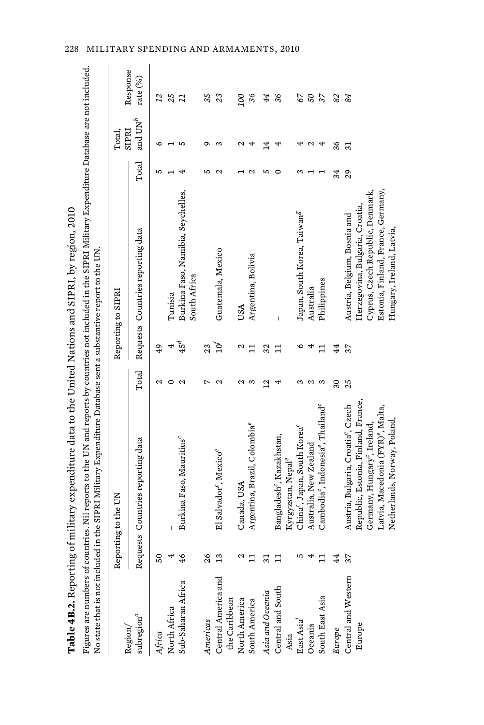|                                      |                | Table 4B.2. Reporting of military expenditure data to the United Nations and SIPRI, by region, 2010                                                                                                                                                                         |                   |        |                                                                 |       |                              |                          |
|--------------------------------------|----------------|-----------------------------------------------------------------------------------------------------------------------------------------------------------------------------------------------------------------------------------------------------------------------------|-------------------|--------|-----------------------------------------------------------------|-------|------------------------------|--------------------------|
|                                      |                | Figures are numbers of countries. Nil reports to the UN and reports by countries not included in the SIPRI Military Expenditure Database are not included.<br>No state that is not included in the SIPRI Military Expenditure Database sent a substantive report to the UN. |                   |        |                                                                 |       |                              |                          |
| Region/                              |                | Reporting to the UN                                                                                                                                                                                                                                                         |                   |        | Reporting to SIPRI                                              |       | SIPRI<br>Total               | Response                 |
| ${\rm subregion}^a$                  |                | Requests Countries reporting data                                                                                                                                                                                                                                           | Total             |        | Requests Countries reporting data                               | Total | and $\mathbf{U}\mathbf{N}^b$ | rate (%)                 |
| Africa                               | ន              |                                                                                                                                                                                                                                                                             | Ν                 | 49     |                                                                 | 5     | ৩                            | 22                       |
| North Africa                         |                |                                                                                                                                                                                                                                                                             |                   | 4      | Tunisia                                                         |       |                              | 25                       |
| Sub-Saharan Africa                   | $\frac{1}{2}$  | Burkina Faso, Mauritius <sup>c</sup>                                                                                                                                                                                                                                        | 2                 | $45^d$ | Burkina Faso, Namibia, Seychelles,<br>South Africa              |       | S                            | $\overline{1}$           |
| Americas                             | $\frac{8}{3}$  |                                                                                                                                                                                                                                                                             | 1                 | 23     |                                                                 | n,    | ᡡ                            | 35                       |
| Central America and<br>the Caribbean | $\frac{1}{2}$  | El Salvador <sup>e</sup> , Mexico <sup>e</sup>                                                                                                                                                                                                                              | Σ                 | ρτ     | Guatemala, Mexico                                               | N     | S                            | 23                       |
| North America                        |                | Canada, USA                                                                                                                                                                                                                                                                 | N                 | 2      | USA                                                             |       | Z                            | 00                       |
| South America                        |                | Argentina, Brazil, Colombia®                                                                                                                                                                                                                                                | S                 | 급      | Argentina, Bolivia                                              | N     | 4                            | 36                       |
| Asia and Oceania                     | ಸ              |                                                                                                                                                                                                                                                                             | $\overline{2}$    | 32     |                                                                 | ທ     | 4                            | 44                       |
| Central and South<br>Asia            |                | Bangladesh <sup>c</sup> , Kazakhstan,<br>Kyrgyzstan, Nepal <sup>e</sup>                                                                                                                                                                                                     |                   | 급      |                                                                 |       | 4                            | 36                       |
| East Asia <sup>i</sup>               |                | China <sup>c</sup> , Japan, South Korea <sup>c</sup>                                                                                                                                                                                                                        | S                 | ७      | Japan, South Korea, Taiwan <sup>g</sup>                         | S     |                              | 67                       |
| Oceania                              |                | Australia, New Zealand                                                                                                                                                                                                                                                      |                   | 4      | Australia                                                       |       | Δ                            | 50                       |
| South East Asia                      |                | Cambodia <sup>c</sup> , Indonesia <sup>e</sup> , Thailand <sup>c</sup>                                                                                                                                                                                                      | S                 | 급      | Philippines                                                     |       | 4                            | $\overline{\mathcal{E}}$ |
| Europe                               | £              |                                                                                                                                                                                                                                                                             | $\boldsymbol{30}$ | 4      |                                                                 | 34    | 36                           | 82                       |
| Central and Western<br>Europe        | $\frac{37}{2}$ | Republic, Estonia, Finland, France,<br>Austria, Bulgaria, Croatia <sup>e</sup> , Czech                                                                                                                                                                                      | 25                | 37     | Herzegovina, Bulgaria, Croatia,<br>Austria, Belgium, Bosnia and | 29    | $\overline{31}$              | 84                       |
|                                      |                | Germany, Hungary <sup>c</sup> , Ireland,                                                                                                                                                                                                                                    |                   |        | Cyprus, Czech Republic, Denmark,                                |       |                              |                          |
|                                      |                | Latvia, Macedonia (FYR) <sup>e</sup> , Malta,                                                                                                                                                                                                                               |                   |        | Estonia, Finland, France, Germany,                              |       |                              |                          |
|                                      |                | Netherlands, Norway, Poland,                                                                                                                                                                                                                                                |                   |        | Hungary, Ireland, Latvia,                                       |       |                              |                          |